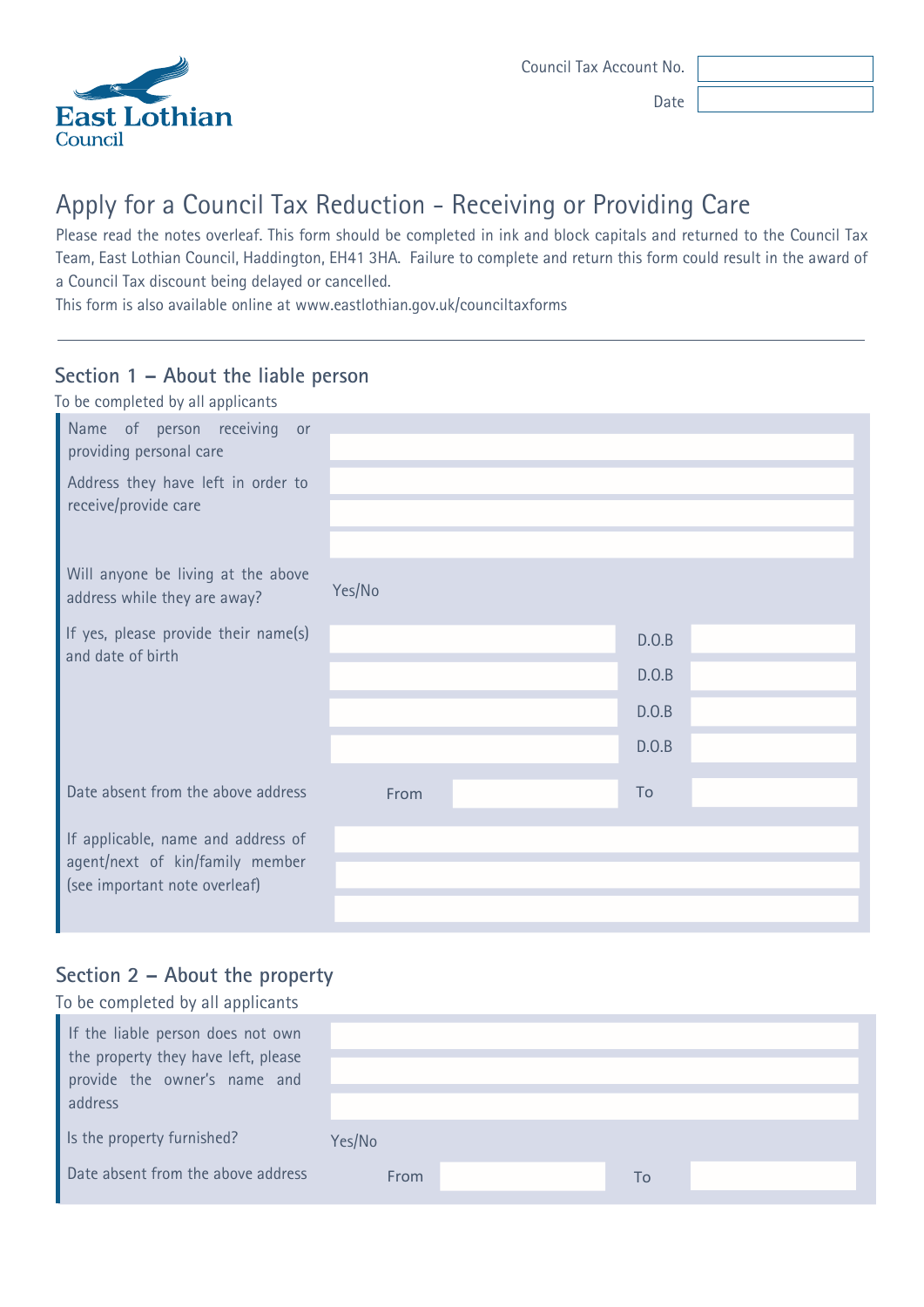

Date

# Apply for a Council Tax Reduction - Receiving or Providing Care

Please read the notes overleaf. This form should be completed in ink and block capitals and returned to the Council Tax Team, East Lothian Council, Haddington, EH41 3HA. Failure to complete and return this form could result in the award of a Council Tax discount being delayed or cancelled.

This form is also available online at www.eastlothian.gov.uk/counciltaxforms

## **Section 1 – About the liable person**

| To be completed by all applicants                                                                      |        |       |  |
|--------------------------------------------------------------------------------------------------------|--------|-------|--|
| Name of person receiving<br>or<br>providing personal care                                              |        |       |  |
| Address they have left in order to<br>receive/provide care                                             |        |       |  |
| Will anyone be living at the above<br>address while they are away?                                     | Yes/No |       |  |
| If yes, please provide their name(s)<br>and date of birth                                              |        | D.O.B |  |
|                                                                                                        |        | D.O.B |  |
|                                                                                                        |        | D.O.B |  |
|                                                                                                        |        | D.0.B |  |
| Date absent from the above address                                                                     | From   | To    |  |
| If applicable, name and address of<br>agent/next of kin/family member<br>(see important note overleaf) |        |       |  |
|                                                                                                        |        |       |  |
|                                                                                                        |        |       |  |

### **Section 2 – About the property** To be completed by all applicants

| To be completed by all applicants                                                                                   |        |    |  |
|---------------------------------------------------------------------------------------------------------------------|--------|----|--|
| If the liable person does not own<br>the property they have left, please<br>provide the owner's name and<br>address |        |    |  |
| Is the property furnished?                                                                                          | Yes/No |    |  |
| Date absent from the above address                                                                                  | From   | To |  |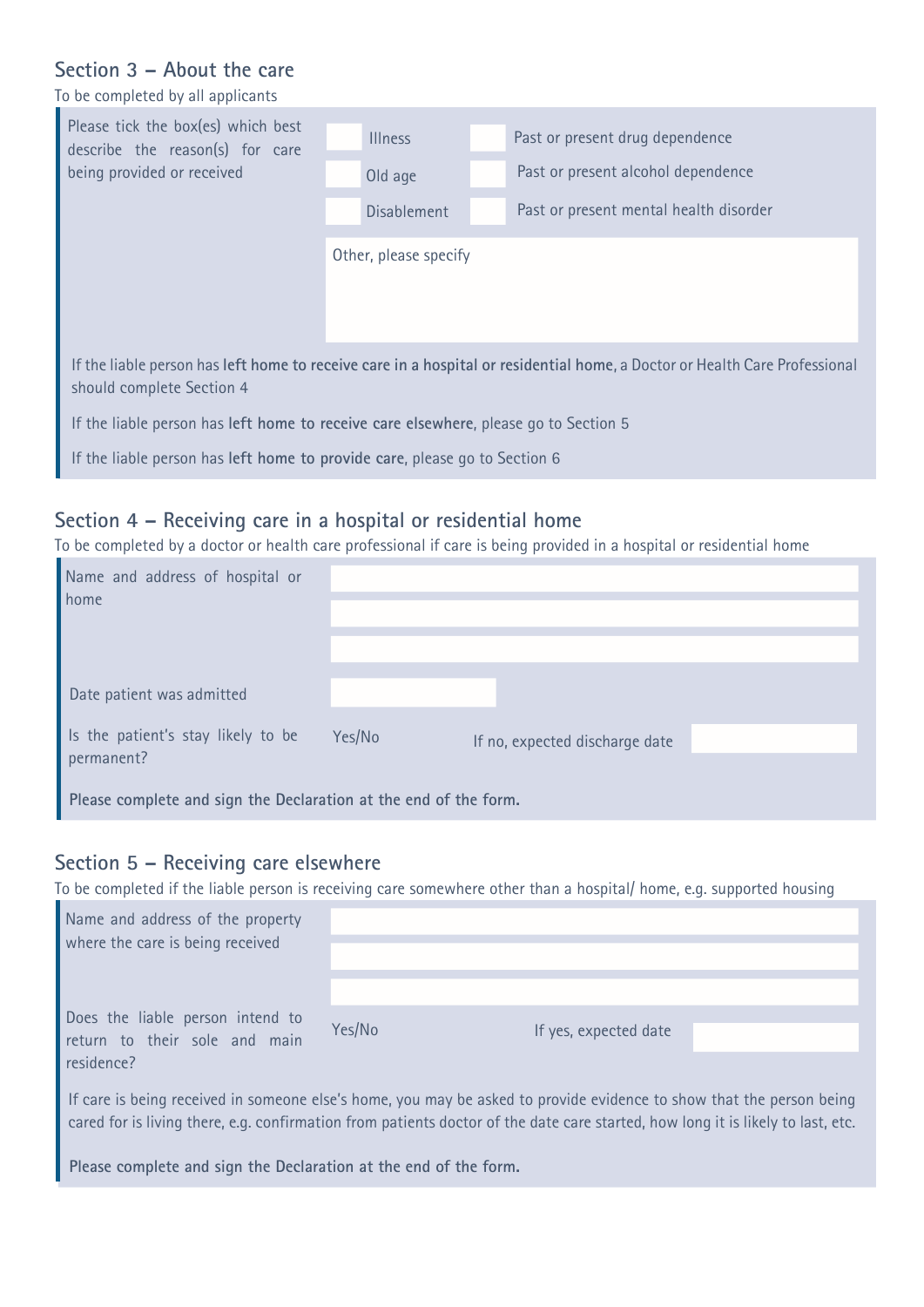### **Section 3 – About the care**

To be completed by all applicants

| Please tick the box(es) which best<br>describe the reason(s) for care<br>being provided or received                                                     | <b>Illness</b>        | Past or present drug dependence        |  |  |
|---------------------------------------------------------------------------------------------------------------------------------------------------------|-----------------------|----------------------------------------|--|--|
|                                                                                                                                                         | Old age               | Past or present alcohol dependence     |  |  |
|                                                                                                                                                         | Disablement           | Past or present mental health disorder |  |  |
|                                                                                                                                                         | Other, please specify |                                        |  |  |
| If the liable person has left home to receive care in a hospital or residential home, a Doctor or Health Care Professional<br>should complete Section 4 |                       |                                        |  |  |
| If the liable person has left home to receive care elsewhere, please go to Section 5                                                                    |                       |                                        |  |  |
| If the liable person has left home to provide care, please go to Section 6                                                                              |                       |                                        |  |  |

## **Section 4 – Receiving care in a hospital or residential home**

To be completed by a doctor or health care professional if care is being provided in a hospital or residential home

| Name and address of hospital or<br>home                                        |        |                                |  |
|--------------------------------------------------------------------------------|--------|--------------------------------|--|
|                                                                                |        |                                |  |
| Date patient was admitted                                                      |        |                                |  |
| Is the patient's stay likely to be                                             | Yes/No | If no, expected discharge date |  |
| permanent?<br>Please complete and sign the Declaration at the end of the form. |        |                                |  |

### **Section 5 – Receiving care elsewhere**

To be completed if the liable person is receiving care somewhere other than a hospital/ home, e.g. supported housing

| Name and address of the property<br>where the care is being received            |        |                       |  |
|---------------------------------------------------------------------------------|--------|-----------------------|--|
|                                                                                 |        |                       |  |
| Does the liable person intend to<br>return to their sole and main<br>residence? | Yes/No | If yes, expected date |  |
|                                                                                 |        |                       |  |

If care is being received in someone else's home, you may be asked to provide evidence to show that the person being cared for is living there, e.g. confirmation from patients doctor of the date care started, how long it is likely to last, etc.

**Please complete and sign the Declaration at the end of the form.**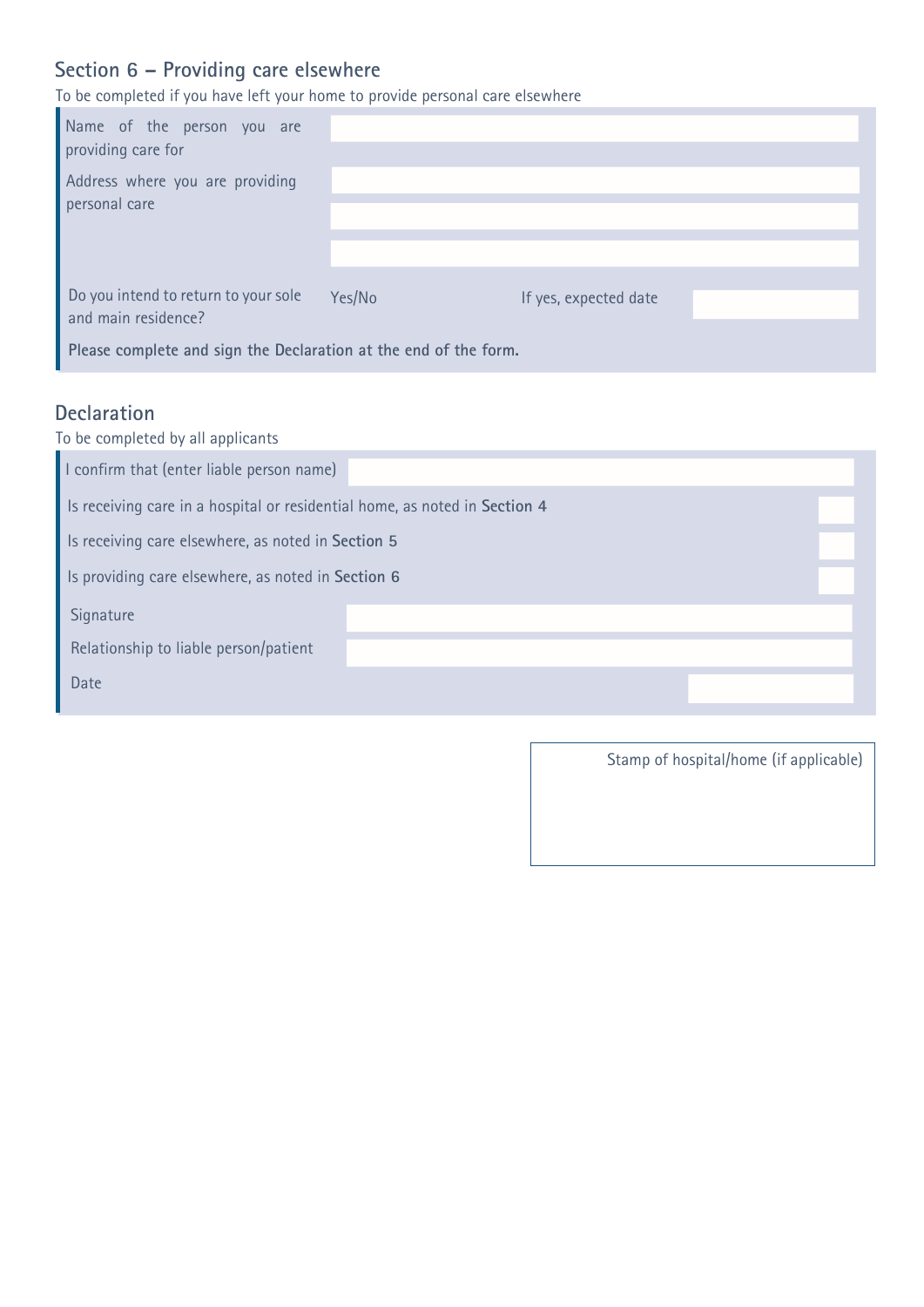## **Section 6 – Providing care elsewhere**

To be completed if you have left your home to provide personal care elsewhere

| Name of the person you are<br>providing care for                                                                                |        |                       |  |
|---------------------------------------------------------------------------------------------------------------------------------|--------|-----------------------|--|
| Address where you are providing<br>personal care                                                                                |        |                       |  |
| Do you intend to return to your sole<br>and main residence?<br>Please complete and sign the Declaration at the end of the form. | Yes/No | If yes, expected date |  |

# **Declaration**

| To be completed by all applicants                                          |  |  |
|----------------------------------------------------------------------------|--|--|
| I confirm that (enter liable person name)                                  |  |  |
| Is receiving care in a hospital or residential home, as noted in Section 4 |  |  |
| Is receiving care elsewhere, as noted in Section 5                         |  |  |
| Is providing care elsewhere, as noted in Section 6                         |  |  |
| Signature                                                                  |  |  |
| Relationship to liable person/patient                                      |  |  |
| Date                                                                       |  |  |
|                                                                            |  |  |

Stamp of hospital/home (if applicable)